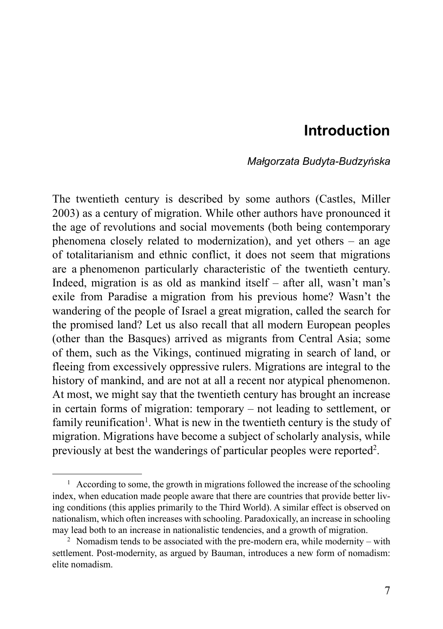# **Introduction**

### *Małgorzata Budyta-Budzyńska*

The twentieth century is described by some authors (Castles, Miller 2003) as a century of migration. While other authors have pronounced it the age of revolutions and social movements (both being contemporary phenomena closely related to modernization), and yet others – an age of totalitarianism and ethnic conflict, it does not seem that migrations are a phenomenon particularly characteristic of the twentieth century. Indeed, migration is as old as mankind itself – after all, wasn't man's exile from Paradise a migration from his previous home? Wasn't the wandering of the people of Israel a great migration, called the search for the promised land? Let us also recall that all modern European peoples (other than the Basques) arrived as migrants from Central Asia; some of them, such as the Vikings, continued migrating in search of land, or fleeing from excessively oppressive rulers. Migrations are integral to the history of mankind, and are not at all a recent nor atypical phenomenon. At most, we might say that the twentieth century has brought an increase in certain forms of migration: temporary – not leading to settlement, or family reunification<sup>1</sup>. What is new in the twentieth century is the study of migration. Migrations have become a subject of scholarly analysis, while previously at best the wanderings of particular peoples were reported<sup>2</sup>.

<sup>&</sup>lt;sup>1</sup> According to some, the growth in migrations followed the increase of the schooling index, when education made people aware that there are countries that provide better living conditions (this applies primarily to the Third World). A similar effect is observed on nationalism, which often increases with schooling. Paradoxically, an increase in schooling may lead both to an increase in nationalistic tendencies, and a growth of migration.

<sup>&</sup>lt;sup>2</sup> Nomadism tends to be associated with the pre-modern era, while modernity – with settlement. Post-modernity, as argued by Bauman, introduces a new form of nomadism: elite nomadism.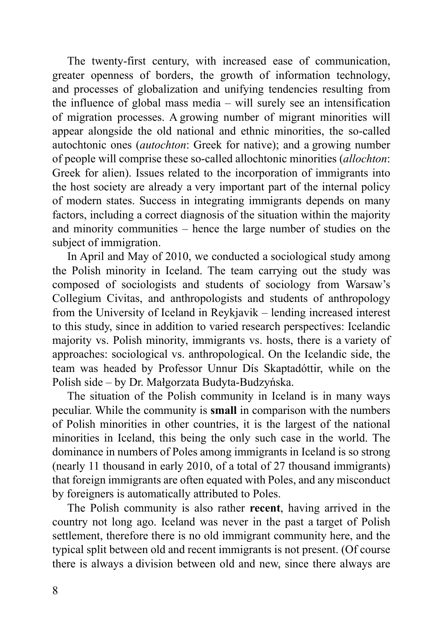The twenty-first century, with increased ease of communication, greater openness of borders, the growth of information technology, and processes of globalization and unifying tendencies resulting from the influence of global mass media – will surely see an intensification of migration processes. A growing number of migrant minorities will appear alongside the old national and ethnic minorities, the so-called autochtonic ones (*autochton*: Greek for native); and a growing number of people will comprise these so-called allochtonic minorities (*allochton*: Greek for alien). Issues related to the incorporation of immigrants into the host society are already a very important part of the internal policy of modern states. Success in integrating immigrants depends on many factors, including a correct diagnosis of the situation within the majority and minority communities – hence the large number of studies on the subject of immigration.

In April and May of 2010, we conducted a sociological study among the Polish minority in Iceland. The team carrying out the study was composed of sociologists and students of sociology from Warsaw's Collegium Civitas, and anthropologists and students of anthropology from the University of Iceland in Reykjavik – lending increased interest to this study, since in addition to varied research perspectives: Icelandic majority vs. Polish minority, immigrants vs. hosts, there is a variety of approaches: sociological vs. anthropological. On the Icelandic side, the team was headed by Professor Unnur Dís Skaptadóttir, while on the Polish side – by Dr. Małgorzata Budyta-Budzyńska.

The situation of the Polish community in Iceland is in many ways peculiar. While the community is **small** in comparison with the numbers of Polish minorities in other countries, it is the largest of the national minorities in Iceland, this being the only such case in the world. The dominance in numbers of Poles among immigrants in Iceland is so strong (nearly 11 thousand in early 2010, of a total of 27 thousand immigrants) that foreign immigrants are often equated with Poles, and any misconduct by foreigners is automatically attributed to Poles.

The Polish community is also rather **recent**, having arrived in the country not long ago. Iceland was never in the past a target of Polish settlement, therefore there is no old immigrant community here, and the typical split between old and recent immigrants is not present. (Of course there is always a division between old and new, since there always are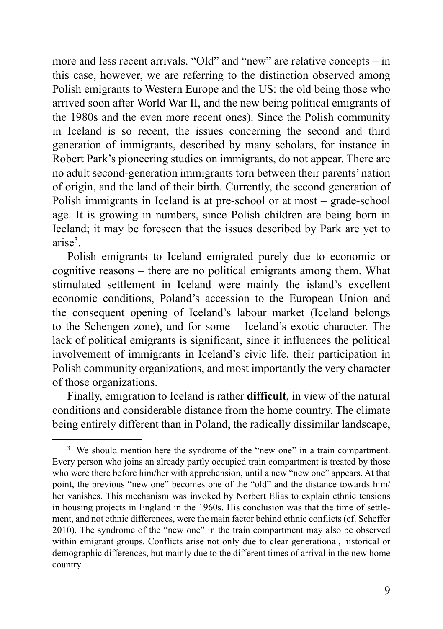more and less recent arrivals. "Old" and "new" are relative concepts – in this case, however, we are referring to the distinction observed among Polish emigrants to Western Europe and the US: the old being those who arrived soon after World War II, and the new being political emigrants of the 1980s and the even more recent ones). Since the Polish community in Iceland is so recent, the issues concerning the second and third generation of immigrants, described by many scholars, for instance in Robert Park's pioneering studies on immigrants, do not appear. There are no adult second-generation immigrants torn between their parents' nation of origin, and the land of their birth. Currently, the second generation of Polish immigrants in Iceland is at pre-school or at most – grade-school age. It is growing in numbers, since Polish children are being born in Iceland; it may be foreseen that the issues described by Park are yet to arise<sup>3</sup>.

Polish emigrants to Iceland emigrated purely due to economic or cognitive reasons – there are no political emigrants among them. What stimulated settlement in Iceland were mainly the island's excellent economic conditions, Poland's accession to the European Union and the consequent opening of Iceland's labour market (Iceland belongs to the Schengen zone), and for some – Iceland's exotic character. The lack of political emigrants is significant, since it influences the political involvement of immigrants in Iceland's civic life, their participation in Polish community organizations, and most importantly the very character of those organizations.

Finally, emigration to Iceland is rather **difficult**, in view of the natural conditions and considerable distance from the home country. The climate being entirely different than in Poland, the radically dissimilar landscape,

<sup>&</sup>lt;sup>3</sup> We should mention here the syndrome of the "new one" in a train compartment. Every person who joins an already partly occupied train compartment is treated by those who were there before him/her with apprehension, until a new "new one" appears. At that point, the previous "new one" becomes one of the "old" and the distance towards him/ her vanishes. This mechanism was invoked by Norbert Elias to explain ethnic tensions in housing projects in England in the 1960s. His conclusion was that the time of settlement, and not ethnic differences, were the main factor behind ethnic conflicts (cf. Scheffer 2010). The syndrome of the "new one" in the train compartment may also be observed within emigrant groups. Conflicts arise not only due to clear generational, historical or demographic differences, but mainly due to the different times of arrival in the new home country.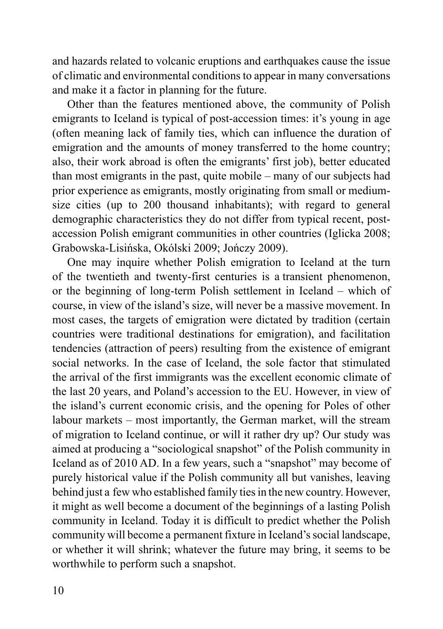and hazards related to volcanic eruptions and earthquakes cause the issue of climatic and environmental conditions to appear in many conversations and make it a factor in planning for the future.

Other than the features mentioned above, the community of Polish emigrants to Iceland is typical of post-accession times: it's young in age (often meaning lack of family ties, which can influence the duration of emigration and the amounts of money transferred to the home country; also, their work abroad is often the emigrants' first job), better educated than most emigrants in the past, quite mobile – many of our subjects had prior experience as emigrants, mostly originating from small or mediumsize cities (up to 200 thousand inhabitants); with regard to general demographic characteristics they do not differ from typical recent, postaccession Polish emigrant communities in other countries (Iglicka 2008; Grabowska-Lisińska, Okólski 2009; Jończy 2009).

One may inquire whether Polish emigration to Iceland at the turn of the twentieth and twenty-first centuries is a transient phenomenon, or the beginning of long-term Polish settlement in Iceland – which of course, in view of the island's size, will never be a massive movement. In most cases, the targets of emigration were dictated by tradition (certain countries were traditional destinations for emigration), and facilitation tendencies (attraction of peers) resulting from the existence of emigrant social networks. In the case of Iceland, the sole factor that stimulated the arrival of the first immigrants was the excellent economic climate of the last 20 years, and Poland's accession to the EU. However, in view of the island's current economic crisis, and the opening for Poles of other labour markets – most importantly, the German market, will the stream of migration to Iceland continue, or will it rather dry up? Our study was aimed at producing a "sociological snapshot" of the Polish community in Iceland as of 2010 AD. In a few years, such a "snapshot" may become of purely historical value if the Polish community all but vanishes, leaving behind just a few who established family ties in the new country. However, it might as well become a document of the beginnings of a lasting Polish community in Iceland. Today it is difficult to predict whether the Polish community will become a permanent fixture in Iceland's social landscape, or whether it will shrink; whatever the future may bring, it seems to be worthwhile to perform such a snapshot.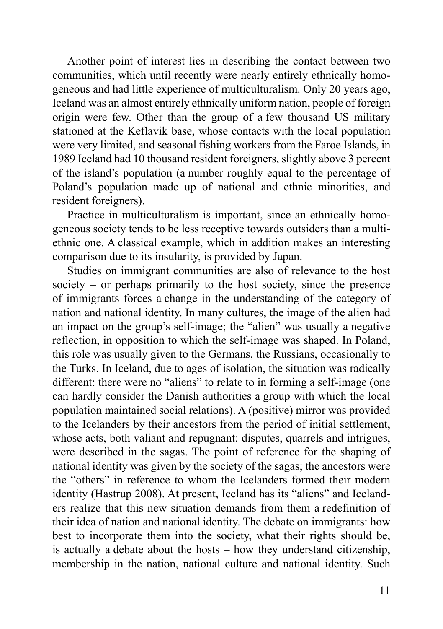Another point of interest lies in describing the contact between two communities, which until recently were nearly entirely ethnically homogeneous and had little experience of multiculturalism. Only 20 years ago, Iceland was an almost entirely ethnically uniform nation, people of foreign origin were few. Other than the group of a few thousand US military stationed at the Keflavik base, whose contacts with the local population were very limited, and seasonal fishing workers from the Faroe Islands, in 1989 Iceland had 10 thousand resident foreigners, slightly above 3 percent of the island's population (a number roughly equal to the percentage of Poland's population made up of national and ethnic minorities, and resident foreigners).

Practice in multiculturalism is important, since an ethnically homogeneous society tends to be less receptive towards outsiders than a multiethnic one. A classical example, which in addition makes an interesting comparison due to its insularity, is provided by Japan.

Studies on immigrant communities are also of relevance to the host society – or perhaps primarily to the host society, since the presence of immigrants forces a change in the understanding of the category of nation and national identity. In many cultures, the image of the alien had an impact on the group's self-image; the "alien" was usually a negative reflection, in opposition to which the self-image was shaped. In Poland, this role was usually given to the Germans, the Russians, occasionally to the Turks. In Iceland, due to ages of isolation, the situation was radically different: there were no "aliens" to relate to in forming a self-image (one can hardly consider the Danish authorities a group with which the local population maintained social relations). A (positive) mirror was provided to the Icelanders by their ancestors from the period of initial settlement, whose acts, both valiant and repugnant: disputes, quarrels and intrigues, were described in the sagas. The point of reference for the shaping of national identity was given by the society of the sagas; the ancestors were the "others" in reference to whom the Icelanders formed their modern identity (Hastrup 2008). At present, Iceland has its "aliens" and Icelanders realize that this new situation demands from them a redefinition of their idea of nation and national identity. The debate on immigrants: how best to incorporate them into the society, what their rights should be, is actually a debate about the hosts – how they understand citizenship, membership in the nation, national culture and national identity. Such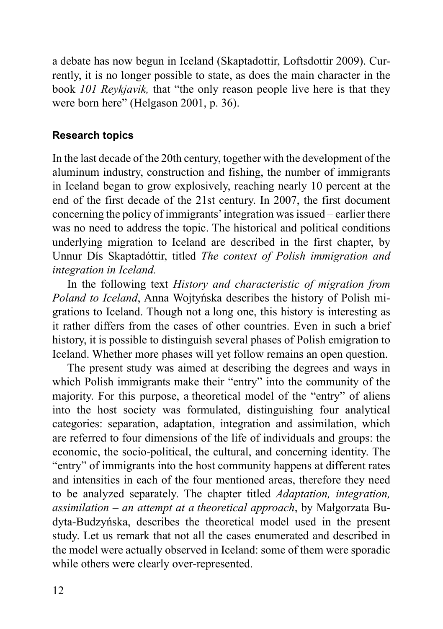a debate has now begun in Iceland (Skaptadottir, Loftsdottir 2009). Currently, it is no longer possible to state, as does the main character in the book *101 Reykjavik,* that "the only reason people live here is that they were born here" (Helgason 2001, p. 36).

## **Research topics**

In the last decade of the 20th century, together with the development of the aluminum industry, construction and fishing, the number of immigrants in Iceland began to grow explosively, reaching nearly 10 percent at the end of the first decade of the 21st century. In 2007, the first document concerning the policy of immigrants' integration was issued – earlier there was no need to address the topic. The historical and political conditions underlying migration to Iceland are described in the first chapter, by Unnur Dís Skaptadóttir, titled *The context of Polish immigration and integration in Iceland.*

In the following text *History and characteristic of migration from Poland to Iceland*, Anna Wojtyńska describes the history of Polish migrations to Iceland. Though not a long one, this history is interesting as it rather differs from the cases of other countries. Even in such a brief history, it is possible to distinguish several phases of Polish emigration to Iceland. Whether more phases will yet follow remains an open question.

The present study was aimed at describing the degrees and ways in which Polish immigrants make their "entry" into the community of the majority. For this purpose, a theoretical model of the "entry" of aliens into the host society was formulated, distinguishing four analytical categories: separation, adaptation, integration and assimilation, which are referred to four dimensions of the life of individuals and groups: the economic, the socio-political, the cultural, and concerning identity. The "entry" of immigrants into the host community happens at different rates and intensities in each of the four mentioned areas, therefore they need to be analyzed separately. The chapter titled *Adaptation, integration, assimilation – an attempt at a theoretical approach*, by Małgorzata Budyta-Budzyńska, describes the theoretical model used in the present study. Let us remark that not all the cases enumerated and described in the model were actually observed in Iceland: some of them were sporadic while others were clearly over-represented.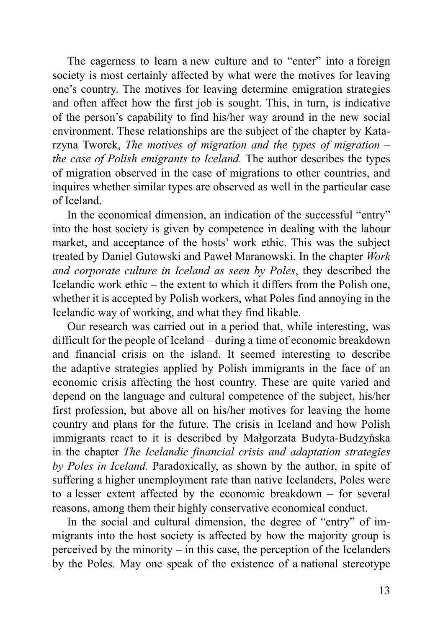The eagerness to learn a new culture and to "enter" into a foreign society is most certainly affected by what were the motives for leaving one's country. The motives for leaving determine emigration strategies and often affect how the first job is sought. This, in turn, is indicative of the person's capability to find his/her way around in the new social environment. These relationships are the subject of the chapter by Katarzyna Tworek, *The motives of migration and the types of migration – the case of Polish emigrants to Iceland.* The author describes the types of migration observed in the case of migrations to other countries, and inquires whether similar types are observed as well in the particular case of Iceland.

In the economical dimension, an indication of the successful "entry" into the host society is given by competence in dealing with the labour market, and acceptance of the hosts' work ethic. This was the subject treated by Daniel Gutowski and Paweł Maranowski. In the chapter *Work and corporate culture in Iceland as seen by Poles*, they described the Icelandic work ethic – the extent to which it differs from the Polish one, whether it is accepted by Polish workers, what Poles find annoying in the Icelandic way of working, and what they find likable.

Our research was carried out in a period that, while interesting, was difficult for the people of Iceland – during a time of economic breakdown and financial crisis on the island. It seemed interesting to describe the adaptive strategies applied by Polish immigrants in the face of an economic crisis affecting the host country. These are quite varied and depend on the language and cultural competence of the subject, his/her first profession, but above all on his/her motives for leaving the home country and plans for the future. The crisis in Iceland and how Polish immigrants react to it is described by Małgorzata Budyta-Budzyńska in the chapter *The Icelandic financial crisis and adaptation strategies by Poles in Iceland.* Paradoxically, as shown by the author, in spite of suffering a higher unemployment rate than native Icelanders, Poles were to a lesser extent affected by the economic breakdown – for several reasons, among them their highly conservative economical conduct.

In the social and cultural dimension, the degree of "entry" of immigrants into the host society is affected by how the majority group is perceived by the minority – in this case, the perception of the Icelanders by the Poles. May one speak of the existence of a national stereotype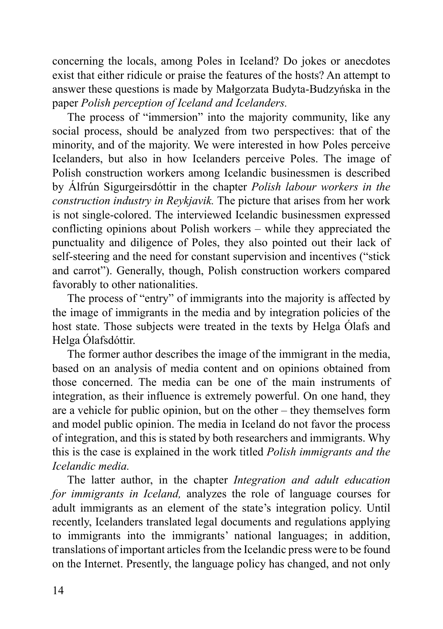concerning the locals, among Poles in Iceland? Do jokes or anecdotes exist that either ridicule or praise the features of the hosts? An attempt to answer these questions is made by Małgorzata Budyta-Budzyńska in the paper *Polish perception of Iceland and Icelanders.* 

The process of "immersion" into the majority community, like any social process, should be analyzed from two perspectives: that of the minority, and of the majority. We were interested in how Poles perceive Icelanders, but also in how Icelanders perceive Poles. The image of Polish construction workers among Icelandic businessmen is described by Álfrún Sigurgeirsdóttir in the chapter *Polish labour workers in the construction industry in Reykjavik.* The picture that arises from her work is not single-colored. The interviewed Icelandic businessmen expressed conflicting opinions about Polish workers – while they appreciated the punctuality and diligence of Poles, they also pointed out their lack of self-steering and the need for constant supervision and incentives ("stick and carrot"). Generally, though, Polish construction workers compared favorably to other nationalities.

The process of "entry" of immigrants into the majority is affected by the image of immigrants in the media and by integration policies of the host state. Those subjects were treated in the texts by Helga Ólafs and Helga Ólafsdóttir.

The former author describes the image of the immigrant in the media, based on an analysis of media content and on opinions obtained from those concerned. The media can be one of the main instruments of integration, as their influence is extremely powerful. On one hand, they are a vehicle for public opinion, but on the other – they themselves form and model public opinion. The media in Iceland do not favor the process of integration, and this is stated by both researchers and immigrants. Why this is the case is explained in the work titled *Polish immigrants and the Icelandic media.*

The latter author, in the chapter *Integration and adult education for immigrants in Iceland,* analyzes the role of language courses for adult immigrants as an element of the state's integration policy. Until recently, Icelanders translated legal documents and regulations applying to immigrants into the immigrants' national languages; in addition, translations of important articles from the Icelandic press were to be found on the Internet. Presently, the language policy has changed, and not only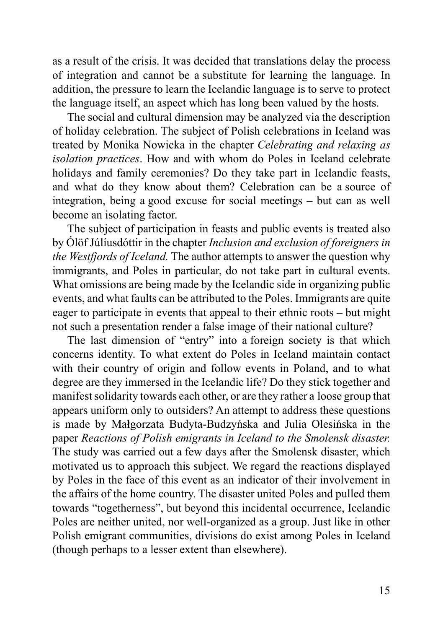as a result of the crisis. It was decided that translations delay the process of integration and cannot be a substitute for learning the language. In addition, the pressure to learn the Icelandic language is to serve to protect the language itself, an aspect which has long been valued by the hosts.

The social and cultural dimension may be analyzed via the description of holiday celebration. The subject of Polish celebrations in Iceland was treated by Monika Nowicka in the chapter *Celebrating and relaxing as isolation practices*. How and with whom do Poles in Iceland celebrate holidays and family ceremonies? Do they take part in Icelandic feasts, and what do they know about them? Celebration can be a source of integration, being a good excuse for social meetings – but can as well become an isolating factor.

The subject of participation in feasts and public events is treated also by Ólöf Júlíusdóttir in the chapter *Inclusion and exclusion of foreigners in the Westfjords of Iceland.* The author attempts to answer the question why immigrants, and Poles in particular, do not take part in cultural events. What omissions are being made by the Icelandic side in organizing public events, and what faults can be attributed to the Poles. Immigrants are quite eager to participate in events that appeal to their ethnic roots – but might not such a presentation render a false image of their national culture?

The last dimension of "entry" into a foreign society is that which concerns identity. To what extent do Poles in Iceland maintain contact with their country of origin and follow events in Poland, and to what degree are they immersed in the Icelandic life? Do they stick together and manifest solidarity towards each other, or are they rather a loose group that appears uniform only to outsiders? An attempt to address these questions is made by Małgorzata Budyta-Budzyńska and Julia Olesińska in the paper *Reactions of Polish emigrants in Iceland to the Smolensk disaster.* The study was carried out a few days after the Smolensk disaster, which motivated us to approach this subject. We regard the reactions displayed by Poles in the face of this event as an indicator of their involvement in the affairs of the home country. The disaster united Poles and pulled them towards "togetherness", but beyond this incidental occurrence, Icelandic Poles are neither united, nor well-organized as a group. Just like in other Polish emigrant communities, divisions do exist among Poles in Iceland (though perhaps to a lesser extent than elsewhere).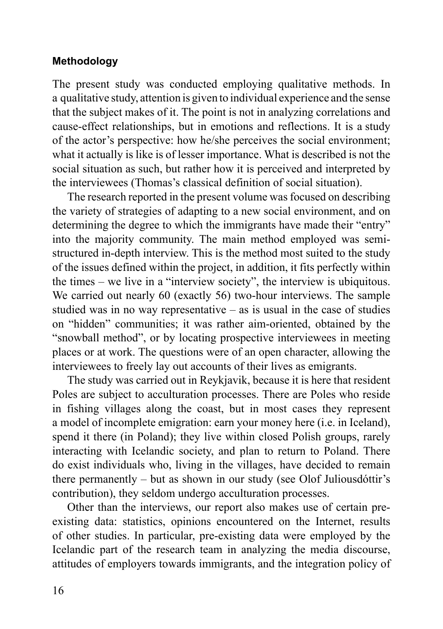## **Methodology**

The present study was conducted employing qualitative methods. In a qualitative study, attention is given to individual experience and the sense that the subject makes of it. The point is not in analyzing correlations and cause-effect relationships, but in emotions and reflections. It is a study of the actor's perspective: how he/she perceives the social environment; what it actually is like is of lesser importance. What is described is not the social situation as such, but rather how it is perceived and interpreted by the interviewees (Thomas's classical definition of social situation).

The research reported in the present volume was focused on describing the variety of strategies of adapting to a new social environment, and on determining the degree to which the immigrants have made their "entry" into the majority community. The main method employed was semistructured in-depth interview. This is the method most suited to the study of the issues defined within the project, in addition, it fits perfectly within the times – we live in a "interview society", the interview is ubiquitous. We carried out nearly 60 (exactly 56) two-hour interviews. The sample studied was in no way representative – as is usual in the case of studies on "hidden" communities; it was rather aim-oriented, obtained by the "snowball method", or by locating prospective interviewees in meeting places or at work. The questions were of an open character, allowing the interviewees to freely lay out accounts of their lives as emigrants.

The study was carried out in Reykjavik, because it is here that resident Poles are subject to acculturation processes. There are Poles who reside in fishing villages along the coast, but in most cases they represent a model of incomplete emigration: earn your money here (i.e. in Iceland), spend it there (in Poland); they live within closed Polish groups, rarely interacting with Icelandic society, and plan to return to Poland. There do exist individuals who, living in the villages, have decided to remain there permanently – but as shown in our study (see Olof Juliousdóttir's contribution), they seldom undergo acculturation processes.

Other than the interviews, our report also makes use of certain preexisting data: statistics, opinions encountered on the Internet, results of other studies. In particular, pre-existing data were employed by the Icelandic part of the research team in analyzing the media discourse, attitudes of employers towards immigrants, and the integration policy of